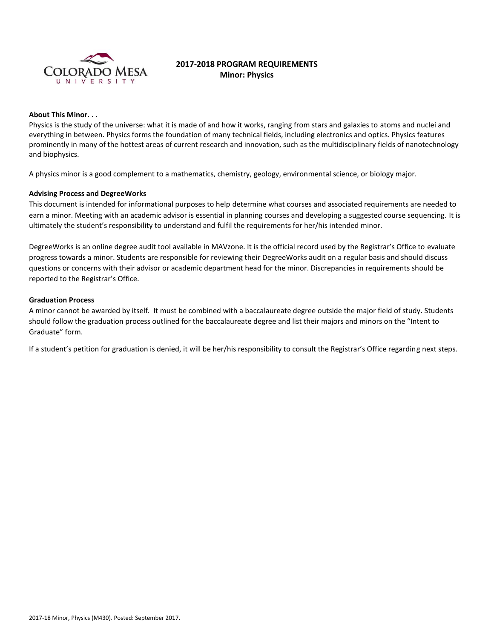

# **2017-2018 PROGRAM REQUIREMENTS Minor: Physics**

### **About This Minor. . .**

Physics is the study of the universe: what it is made of and how it works, ranging from stars and galaxies to atoms and nuclei and everything in between. Physics forms the foundation of many technical fields, including electronics and optics. Physics features prominently in many of the hottest areas of current research and innovation, such as the multidisciplinary fields of nanotechnology and biophysics.

A physics minor is a good complement to a mathematics, chemistry, geology, environmental science, or biology major.

## **Advising Process and DegreeWorks**

This document is intended for informational purposes to help determine what courses and associated requirements are needed to earn a minor. Meeting with an academic advisor is essential in planning courses and developing a suggested course sequencing. It is ultimately the student's responsibility to understand and fulfil the requirements for her/his intended minor.

DegreeWorks is an online degree audit tool available in MAVzone. It is the official record used by the Registrar's Office to evaluate progress towards a minor. Students are responsible for reviewing their DegreeWorks audit on a regular basis and should discuss questions or concerns with their advisor or academic department head for the minor. Discrepancies in requirements should be reported to the Registrar's Office.

## **Graduation Process**

A minor cannot be awarded by itself. It must be combined with a baccalaureate degree outside the major field of study. Students should follow the graduation process outlined for the baccalaureate degree and list their majors and minors on the "Intent to Graduate" form.

If a student's petition for graduation is denied, it will be her/his responsibility to consult the Registrar's Office regarding next steps.